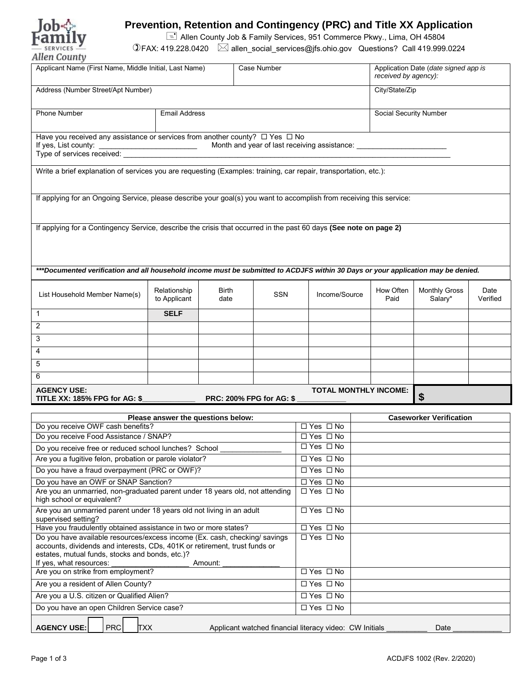

## **Prevention, Retention and Contingency (PRC) and Title XX Application**

Allen County Job & Family Services, 951 Commerce Pkwy., Lima, OH 45804

FAX: 419.228.0420 allen\_social\_services@jfs.ohio.gov Questions? Call 419.999.0224

| Applicant Name (First Name, Middle Initial, Last Name)                                                                                                                                                                                            |                                    |                      | <b>Case Number</b> |     |                      | Application Date (date signed app is<br>received by agency): |  |                   |                                 |                  |
|---------------------------------------------------------------------------------------------------------------------------------------------------------------------------------------------------------------------------------------------------|------------------------------------|----------------------|--------------------|-----|----------------------|--------------------------------------------------------------|--|-------------------|---------------------------------|------------------|
| Address (Number Street/Apt Number)<br>City/State/Zip                                                                                                                                                                                              |                                    |                      |                    |     |                      |                                                              |  |                   |                                 |                  |
| Phone Number                                                                                                                                                                                                                                      |                                    | <b>Email Address</b> |                    |     |                      | Social Security Number                                       |  |                   |                                 |                  |
| Have you received any assistance or services from another county? $\Box$ Yes $\Box$ No<br>Month and year of last receiving assistance:<br>If yes, List county:                                                                                    |                                    |                      |                    |     |                      |                                                              |  |                   |                                 |                  |
| Write a brief explanation of services you are requesting (Examples: training, car repair, transportation, etc.):                                                                                                                                  |                                    |                      |                    |     |                      |                                                              |  |                   |                                 |                  |
| If applying for an Ongoing Service, please describe your goal(s) you want to accomplish from receiving this service:                                                                                                                              |                                    |                      |                    |     |                      |                                                              |  |                   |                                 |                  |
| If applying for a Contingency Service, describe the crisis that occurred in the past 60 days (See note on page 2)                                                                                                                                 |                                    |                      |                    |     |                      |                                                              |  |                   |                                 |                  |
| ***Documented verification and all household income must be submitted to ACDJFS within 30 Days or your application may be denied.                                                                                                                 |                                    |                      |                    |     |                      |                                                              |  |                   |                                 |                  |
| List Household Member Name(s)                                                                                                                                                                                                                     | Relationship<br>to Applicant       | Birth<br>date        |                    | SSN |                      | Income/Source                                                |  | How Often<br>Paid | <b>Monthly Gross</b><br>Salary* | Date<br>Verified |
| 1                                                                                                                                                                                                                                                 | <b>SELF</b>                        |                      |                    |     |                      |                                                              |  |                   |                                 |                  |
| $\overline{2}$                                                                                                                                                                                                                                    |                                    |                      |                    |     |                      |                                                              |  |                   |                                 |                  |
| 3                                                                                                                                                                                                                                                 |                                    |                      |                    |     |                      |                                                              |  |                   |                                 |                  |
|                                                                                                                                                                                                                                                   |                                    |                      |                    |     |                      |                                                              |  |                   |                                 |                  |
| 4                                                                                                                                                                                                                                                 |                                    |                      |                    |     |                      |                                                              |  |                   |                                 |                  |
| 5                                                                                                                                                                                                                                                 |                                    |                      |                    |     |                      |                                                              |  |                   |                                 |                  |
| 6                                                                                                                                                                                                                                                 |                                    |                      |                    |     |                      |                                                              |  |                   |                                 |                  |
| <b>AGENCY USE:</b><br><b>TOTAL MONTHLY INCOME:</b><br>\$<br><b>TITLE XX: 185% FPG for AG: \$</b><br><b>PRC: 200% FPG for AG: \$</b>                                                                                                               |                                    |                      |                    |     |                      |                                                              |  |                   |                                 |                  |
|                                                                                                                                                                                                                                                   | Please answer the questions below: |                      |                    |     |                      |                                                              |  |                   | <b>Caseworker Verification</b>  |                  |
| Do you receive OWF cash benefits?                                                                                                                                                                                                                 |                                    |                      |                    |     |                      | $\Box$ Yes $\Box$ No                                         |  |                   |                                 |                  |
| Do you receive Food Assistance / SNAP?                                                                                                                                                                                                            |                                    |                      |                    |     |                      | □ Yes □ No                                                   |  |                   |                                 |                  |
| Do you receive free or reduced school lunches? School                                                                                                                                                                                             |                                    |                      |                    |     |                      | $\Box$ Yes $\Box$ No                                         |  |                   |                                 |                  |
| Are you a fugitive felon, probation or parole violator?                                                                                                                                                                                           |                                    |                      |                    |     |                      | $\Box$ Yes $\Box$ No                                         |  |                   |                                 |                  |
| Do you have a fraud overpayment (PRC or OWF)?                                                                                                                                                                                                     |                                    |                      |                    |     | □ Yes □ No           |                                                              |  |                   |                                 |                  |
| Do you have an OWF or SNAP Sanction?                                                                                                                                                                                                              |                                    |                      |                    |     | $\Box$ Yes $\Box$ No |                                                              |  |                   |                                 |                  |
| Are you an unmarried, non-graduated parent under 18 years old, not attending<br>high school or equivalent?                                                                                                                                        |                                    |                      |                    |     | $\Box$ Yes $\Box$ No |                                                              |  |                   |                                 |                  |
| Are you an unmarried parent under 18 years old not living in an adult<br>supervised setting?                                                                                                                                                      |                                    |                      |                    |     | □ Yes □ No           |                                                              |  |                   |                                 |                  |
| Have you fraudulently obtained assistance in two or more states?                                                                                                                                                                                  |                                    |                      |                    |     | $\Box$ Yes $\Box$ No |                                                              |  |                   |                                 |                  |
| Do you have available resources/excess income (Ex. cash, checking/ savings<br>accounts, dividends and interests, CDs, 401K or retirement, trust funds or<br>estates, mutual funds, stocks and bonds, etc.)?<br>If yes, what resources:<br>Amount: |                                    |                      |                    |     | □ Yes □ No           |                                                              |  |                   |                                 |                  |
| Are you on strike from employment?                                                                                                                                                                                                                |                                    |                      |                    |     | □ Yes □ No           |                                                              |  |                   |                                 |                  |
| Are you a resident of Allen County?                                                                                                                                                                                                               |                                    |                      |                    |     | □ Yes □ No           |                                                              |  |                   |                                 |                  |
| Are you a U.S. citizen or Qualified Alien?                                                                                                                                                                                                        |                                    |                      |                    |     | □ Yes □ No           |                                                              |  |                   |                                 |                  |
| Do you have an open Children Service case?                                                                                                                                                                                                        |                                    |                      |                    |     | $\Box$ Yes $\Box$ No |                                                              |  |                   |                                 |                  |
| <b>AGENCY USE:</b><br><b>PRC</b><br><b>TXX</b><br>Applicant watched financial literacy video: CW Initials<br>Date                                                                                                                                 |                                    |                      |                    |     |                      |                                                              |  |                   |                                 |                  |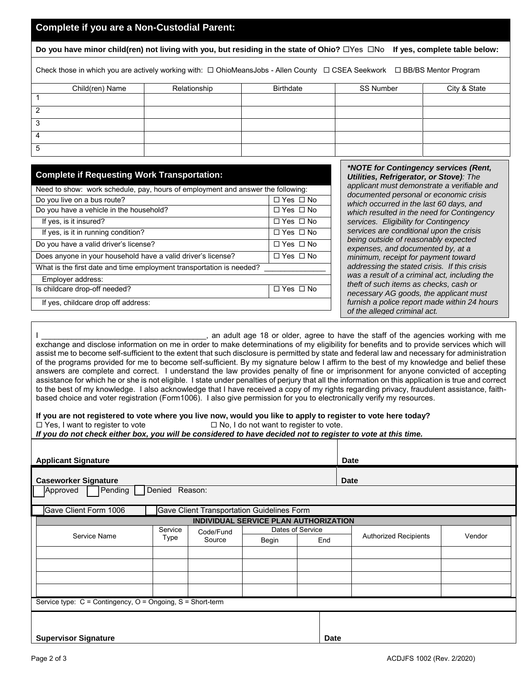## **Complete if you are a Non-Custodial Parent:**

**Do you have minor child(ren) not living with you, but residing in the state of Ohio?** □Yes □No If yes, complete table below:

Check those in which you are actively working with: □ OhioMeansJobs - Allen County □ CSEA Seekwork □ BB/BS Mentor Program

| Child(ren) Name | Relationship | <b>Birthdate</b> | SS Number | City & State |
|-----------------|--------------|------------------|-----------|--------------|
|                 |              |                  |           |              |
|                 |              |                  |           |              |
|                 |              |                  |           |              |
|                 |              |                  |           |              |
|                 |              |                  |           |              |

| <b>Complete if Requesting Work Transportation:</b>                              |                      |  |  |  |  |  |
|---------------------------------------------------------------------------------|----------------------|--|--|--|--|--|
| Need to show: work schedule, pay, hours of employment and answer the following: |                      |  |  |  |  |  |
| Do you live on a bus route?                                                     | $\Box$ Yes $\Box$ No |  |  |  |  |  |
| Do you have a vehicle in the household?                                         | $\Box$ Yes $\Box$ No |  |  |  |  |  |
| If yes, is it insured?                                                          | $\Box$ Yes $\Box$ No |  |  |  |  |  |
| If yes, is it in running condition?                                             | $\Box$ Yes $\Box$ No |  |  |  |  |  |
| Do you have a valid driver's license?                                           | □ Yes □ No           |  |  |  |  |  |
| Does anyone in your household have a valid driver's license?                    | □ Yes □ No           |  |  |  |  |  |
| What is the first date and time employment transportation is needed?            |                      |  |  |  |  |  |
| Employer address:                                                               |                      |  |  |  |  |  |
| Is childcare drop-off needed?                                                   | $\Box$ Yes $\Box$ No |  |  |  |  |  |
| If yes, childcare drop off address:                                             |                      |  |  |  |  |  |
|                                                                                 |                      |  |  |  |  |  |

*\*NOTE for Contingency services (Rent, Utilities, Refrigerator, or Stove): The applicant must demonstrate a verifiable and documented personal or economic crisis which occurred in the last 60 days, and which resulted in the need for Contingency services. Eligibility for Contingency services are conditional upon the crisis being outside of reasonably expected expenses, and documented by, at a minimum, receipt for payment toward addressing the stated crisis. If this crisis was a result of a criminal act, including the theft of such items as checks, cash or necessary AG goods, the applicant must furnish a police report made within 24 hours of the alleged criminal act.* 

an adult age 18 or older, agree to have the staff of the agencies working with me exchange and disclose information on me in order to make determinations of my eligibility for benefits and to provide services which will assist me to become self-sufficient to the extent that such disclosure is permitted by state and federal law and necessary for administration of the programs provided for me to become self-sufficient. By my signature below I affirm to the best of my knowledge and belief these answers are complete and correct. I understand the law provides penalty of fine or imprisonment for anyone convicted of accepting assistance for which he or she is not eligible. I state under penalties of perjury that all the information on this application is true and correct to the best of my knowledge. I also acknowledge that I have received a copy of my rights regarding privacy, fraudulent assistance, faithbased choice and voter registration (Form1006). I also give permission for you to electronically verify my resources.

## **If you are not registered to vote where you live now, would you like to apply to register to vote here today?**

 $\Box$  Yes, I want to register to vote  $\Box$  No, I do not want to register to vote.

*If you do not check either box, you will be considered to have decided not to register to vote at this time.*

| <b>Applicant Signature</b>                                              |                 | Date                                       |                                       |                         |                              |        |  |  |
|-------------------------------------------------------------------------|-----------------|--------------------------------------------|---------------------------------------|-------------------------|------------------------------|--------|--|--|
| <b>Caseworker Signature</b><br>Pending<br>Reason:<br>Approved<br>Denied |                 |                                            |                                       |                         | <b>Date</b>                  |        |  |  |
| Gave Client Form 1006                                                   |                 | Gave Client Transportation Guidelines Form |                                       |                         |                              |        |  |  |
|                                                                         |                 |                                            | INDIVIDUAL SERVICE PLAN AUTHORIZATION |                         |                              |        |  |  |
| Service Name                                                            | Service<br>Type | Code/Fund<br>Source                        | Begin                                 | Dates of Service<br>End | <b>Authorized Recipients</b> | Vendor |  |  |
|                                                                         |                 |                                            |                                       |                         |                              |        |  |  |
|                                                                         |                 |                                            |                                       |                         |                              |        |  |  |
|                                                                         |                 |                                            |                                       |                         |                              |        |  |  |
| Service type: C = Contingency, O = Ongoing, S = Short-term              |                 |                                            |                                       |                         |                              |        |  |  |
| <b>Supervisor Signature</b>                                             |                 |                                            |                                       | <b>Date</b>             |                              |        |  |  |